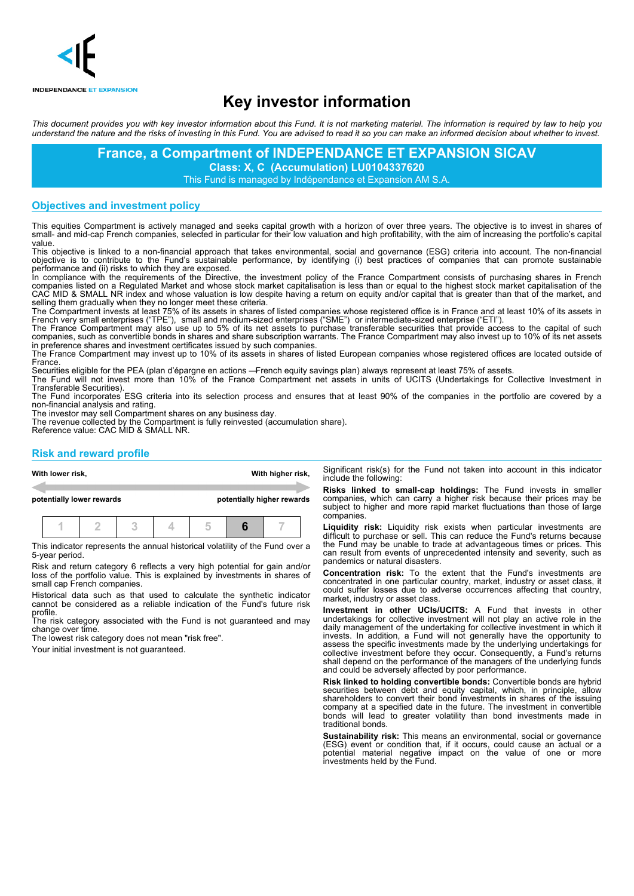

# **Key investor information**

This document provides you with key investor information about this Fund. It is not marketing material. The information is required by law to help you understand the nature and the risks of investing in this Fund. You are advised to read it so you can make an informed decision about whether to invest.

> **France, a Compartment of INDEPENDANCE ET EXPANSION SICAV Class: X, C (Accumulation) LU0104337620**

This Fund is managed by Indépendance et Expansion AM S.A.

## **Objectives and investment policy**

This equities Compartment is actively managed and seeks capital growth with a horizon of over three years. The objective is to invest in shares of small- and mid-cap French companies, selected in particular for their low valuation and high profitability, with the aim of increasing the portfolio's capital value.

This objective is linked to a non-financial approach that takes environmental, social and governance (ESG) criteria into account. The non-financial objective is to contribute to the Fund's sustainable performance, by identifying (i) best practices of companies that can promote sustainable performance and (ii) risks to which they are exposed.

In compliance with the requirements of the Directive, the investment policy of the France Compartment consists of purchasing shares in French companies listed on a Regulated Market and whose stock market capitalisation is less than or equal to the highest stock market capitalisation of the CAC MID & SMALL NR index and whose valuation is low despite having a return on equity and/or capital that is greater than that of the market, and selling them gradually when they no longer meet these criteria.

The Compartment invests at least 75% of its assets in shares of listed companies whose registered office is in France and at least 10% of its assets in French very small enterprises ("TPE"), small and medium-sized enterprises ("SME") or intermediate-sized enterprise ("ETI").

The France Compartment may also use up to 5% of its net assets to purchase transferable securities that provide access to the capital of such companies, such as convertible bonds in shares and share subscription warrants. The France Compartment may also invest up to 10% of its net assets in preference shares and investment certificates issued by such companies.

The France Compartment may invest up to 10% of its assets in shares of listed European companies whose registered offices are located outside of France.

Securities eligible for the PEA (plan d'épargne en actions —French equity savings plan) always represent at least 75% of assets. The Fund will not invest more than 10% of the France Compartment net assets in units of UCITS (Undertakings for Collective Investment in Transferable Securities).

The Fund incorporates ESG criteria into its selection process and ensures that at least 90% of the companies in the portfolio are covered by a non-financial analysis and rating.

The investor may sell Compartment shares on any business day.

The revenue collected by the Compartment is fully reinvested (accumulation share). Reference value: CAC MID & SMALL NR.

# **Risk and reward profile**

|                           | With lower risk, |  |  |  |                            |  | With higher risk, | Significant risk(s) for the Fund not taken into account in<br>include the following:                                                                                                      |
|---------------------------|------------------|--|--|--|----------------------------|--|-------------------|-------------------------------------------------------------------------------------------------------------------------------------------------------------------------------------------|
| potentially lower rewards |                  |  |  |  | potentially higher rewards |  |                   | Risks linked to small-cap holdings: The Fund invest<br>companies, which can carry a higher risk because their<br>subject to higher and more rapid market fluctuations than                |
|                           |                  |  |  |  |                            |  |                   | companies.<br>Liquidity risk: Liquidity risk exists when particular inv<br>taren estas forma de la contra de la contra de la contra de la contra de la contra de la contra del proporto d |

This indicator represents the annual historical volatility of the Fund over a 5-year period.

Risk and return category 6 reflects a very high potential for gain and/or loss of the portfolio value. This is explained by investments in shares of small cap French companies.

Historical data such as that used to calculate the synthetic indicator cannot be considered as a reliable indication of the Fund's future risk

profile. The risk category associated with the Fund is not guaranteed and may change over time.

The lowest risk category does not mean "risk free".

Your initial investment is not guaranteed.

this indicator

**Risks** in smaller prices may be those of large

**Liquidity risk:** Liquidity risk exists when particular investments are difficult to purchase or sell. This can reduce the Fund's returns because the Fund may be unable to trade at advantageous times or prices. This can result from events of unprecedented intensity and severity, such as pandemics or natural disasters.

**Concentration risk:** To the extent that the Fund's investments are concentrated in one particular country, market, industry or asset class, it could suffer losses due to adverse occurrences affecting that country, market, industry or asset class.

**Investment in other UCIs/UCITS:** A Fund that invests in other undertakings for collective investment will not play an active role in the daily management of the undertaking for collective investment in which it invests. In addition, a Fund will not generally have the opportunity to assess the specific investments made by the underlying undertakings for collective investment before they occur. Consequently, a Fund's returns shall depend on the performance of the managers of the underlying funds and could be adversely affected by poor performance.

**Risk linked to holding convertible bonds:** Convertible bonds are hybrid securities between debt and equity capital, which, in principle, allow shareholders to convert their bond investments in shares of the issuing company at a specified date in the future. The investment in convertible bonds will lead to greater volatility than bond investments made in traditional bonds.

**Sustainability risk:** This means an environmental, social or governance (ESG) event or condition that, if it occurs, could cause an actual or a potential material negative impact on the value of one or more investments held by the Fund.